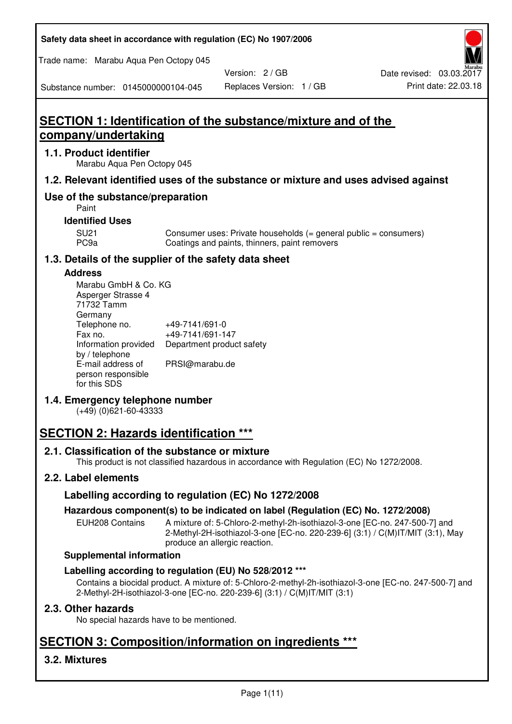**Safety data sheet in accordance with regulation (EC) No 1907/2006** 

Trade name: Marabu Aqua Pen Octopy 045

Version: 2 / GB

Substance number: 0145000000104-045

# Replaces Version: 1 / GB Print date: 22.03.18

# **SECTION 1: Identification of the substance/mixture and of the company/undertaking**

### **1.1. Product identifier**

Marabu Aqua Pen Octopy 045

## **1.2. Relevant identified uses of the substance or mixture and uses advised against**

## **Use of the substance/preparation**

Paint

## **Identified Uses**

SU21 Consumer uses: Private households (= general public = consumers)<br>PC9a Coatings and paints, thinners, paint removers Coatings and paints, thinners, paint removers

## **1.3. Details of the supplier of the safety data sheet**

#### **Address**

| Marabu GmbH & Co. KG |                           |
|----------------------|---------------------------|
| Asperger Strasse 4   |                           |
| 71732 Tamm           |                           |
| Germany              |                           |
| Telephone no.        | +49-7141/691-0            |
| Fax no.              | +49-7141/691-147          |
| Information provided | Department product safety |
| by / telephone       |                           |
| E-mail address of    | PRSI@marabu.de            |
| person responsible   |                           |
| for this SDS         |                           |

## **1.4. Emergency telephone number**

(+49) (0)621-60-43333

# **SECTION 2: Hazards identification \*\*\***

## **2.1. Classification of the substance or mixture**

This product is not classified hazardous in accordance with Regulation (EC) No 1272/2008.

## **2.2. Label elements**

## **Labelling according to regulation (EC) No 1272/2008**

## **Hazardous component(s) to be indicated on label (Regulation (EC) No. 1272/2008)**

EUH208 Contains A mixture of: 5-Chloro-2-methyl-2h-isothiazol-3-one [EC-no. 247-500-7] and 2-Methyl-2H-isothiazol-3-one [EC-no. 220-239-6] (3:1) / C(M)IT/MIT (3:1), May produce an allergic reaction.

#### **Supplemental information**

## **Labelling according to regulation (EU) No 528/2012 \*\*\***

Contains a biocidal product. A mixture of: 5-Chloro-2-methyl-2h-isothiazol-3-one [EC-no. 247-500-7] and 2-Methyl-2H-isothiazol-3-one [EC-no. 220-239-6] (3:1) / C(M)IT/MIT (3:1)

## **2.3. Other hazards**

No special hazards have to be mentioned.

# **SECTION 3: Composition/information on ingredients \*\*\***

## **3.2. Mixtures**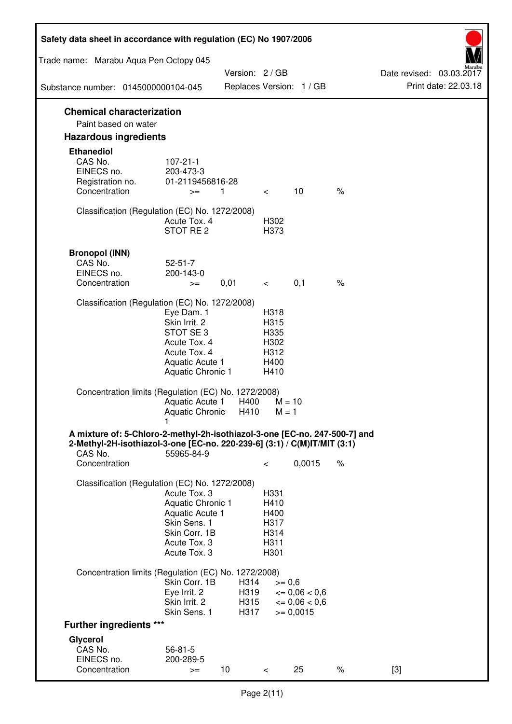| Safety data sheet in accordance with regulation (EC) No 1907/2006                                                                                                 |                                                                                                                       |                              |                                                      |                                                                  |      |                                                  |
|-------------------------------------------------------------------------------------------------------------------------------------------------------------------|-----------------------------------------------------------------------------------------------------------------------|------------------------------|------------------------------------------------------|------------------------------------------------------------------|------|--------------------------------------------------|
| Trade name: Marabu Aqua Pen Octopy 045                                                                                                                            |                                                                                                                       |                              |                                                      |                                                                  |      |                                                  |
| Substance number: 0145000000104-045                                                                                                                               |                                                                                                                       | Version: 2 / GB              |                                                      | Replaces Version: 1 / GB                                         |      | Date revised: 03.03.2017<br>Print date: 22.03.18 |
| <b>Chemical characterization</b>                                                                                                                                  |                                                                                                                       |                              |                                                      |                                                                  |      |                                                  |
| Paint based on water                                                                                                                                              |                                                                                                                       |                              |                                                      |                                                                  |      |                                                  |
| <b>Hazardous ingredients</b>                                                                                                                                      |                                                                                                                       |                              |                                                      |                                                                  |      |                                                  |
| <b>Ethanediol</b><br>CAS No.<br>EINECS no.<br>Registration no.<br>Concentration                                                                                   | $107 - 21 - 1$<br>203-473-3<br>01-2119456816-28<br>1<br>$>=$                                                          |                              | $\overline{\phantom{0}}$                             | 10                                                               | $\%$ |                                                  |
| Classification (Regulation (EC) No. 1272/2008)                                                                                                                    | Acute Tox. 4<br>STOT RE 2                                                                                             |                              | H302<br>H373                                         |                                                                  |      |                                                  |
| <b>Bronopol (INN)</b><br>CAS No.<br>EINECS no.<br>Concentration                                                                                                   | $52 - 51 - 7$<br>200-143-0<br>$>=$                                                                                    | 0,01                         | $\prec$ and $\sim$                                   | 0,1                                                              | $\%$ |                                                  |
| Classification (Regulation (EC) No. 1272/2008)                                                                                                                    |                                                                                                                       |                              |                                                      |                                                                  |      |                                                  |
|                                                                                                                                                                   | Eye Dam. 1<br>Skin Irrit. 2<br>STOT SE 3<br>Acute Tox. 4<br>Acute Tox. 4<br>Aquatic Acute 1<br>Aquatic Chronic 1      |                              | H318<br>H315<br>H335<br>H302<br>H312<br>H400<br>H410 |                                                                  |      |                                                  |
| Concentration limits (Regulation (EC) No. 1272/2008)                                                                                                              | Aquatic Acute 1<br>Aquatic Chronic H410                                                                               | H400                         | $M = 10$<br>$M = 1$                                  |                                                                  |      |                                                  |
| A mixture of: 5-Chloro-2-methyl-2h-isothiazol-3-one [EC-no. 247-500-7] and<br>2-Methyl-2H-isothiazol-3-one [EC-no. 220-239-6] (3:1) / C(M)IT/MIT (3:1)<br>CAS No. | 55965-84-9                                                                                                            |                              |                                                      |                                                                  |      |                                                  |
| Concentration                                                                                                                                                     |                                                                                                                       |                              | $\,<\,$                                              | 0,0015                                                           | $\%$ |                                                  |
| Classification (Regulation (EC) No. 1272/2008)                                                                                                                    | Acute Tox. 3<br>Aquatic Chronic 1<br>Aquatic Acute 1<br>Skin Sens. 1<br>Skin Corr. 1B<br>Acute Tox. 3<br>Acute Tox. 3 |                              | H331<br>H410<br>H400<br>H317<br>H314<br>H311<br>H301 |                                                                  |      |                                                  |
| Concentration limits (Regulation (EC) No. 1272/2008)                                                                                                              |                                                                                                                       |                              |                                                      |                                                                  |      |                                                  |
|                                                                                                                                                                   | Skin Corr. 1B<br>Eye Irrit. 2<br>Skin Irrit. 2<br>Skin Sens. 1                                                        | H314<br>H319<br>H315<br>H317 | $>= 0,6$                                             | $\epsilon = 0.06 < 0.6$<br>$\epsilon = 0.06 < 0.6$<br>$= 0,0015$ |      |                                                  |
| <b>Further ingredients ***</b>                                                                                                                                    |                                                                                                                       |                              |                                                      |                                                                  |      |                                                  |
| Glycerol<br>CAS No.<br>EINECS no.<br>Concentration                                                                                                                | $56 - 81 - 5$<br>200-289-5<br>$>=$                                                                                    | 10 <sup>°</sup>              | $\,<\,$                                              | 25                                                               | $\%$ | $[3]$                                            |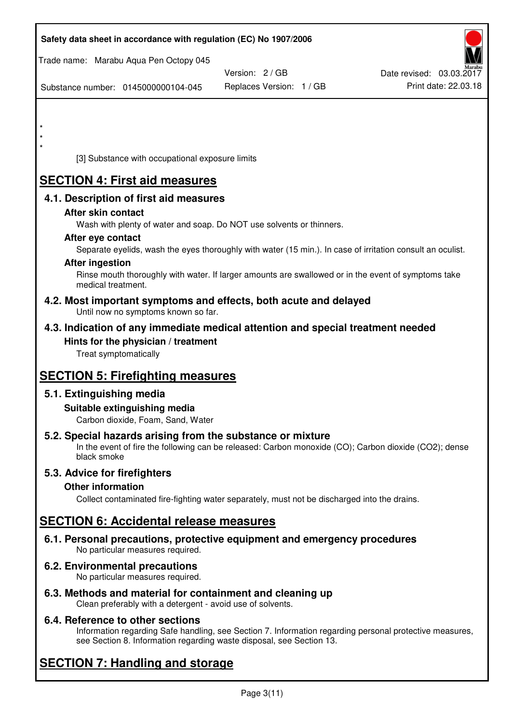| Safety data sheet in accordance with regulation (EC) No 1907/2006                                                                                                                  |                          |                          |
|------------------------------------------------------------------------------------------------------------------------------------------------------------------------------------|--------------------------|--------------------------|
| Trade name: Marabu Aqua Pen Octopy 045                                                                                                                                             |                          |                          |
|                                                                                                                                                                                    | Version: 2 / GB          | Date revised: 03.03.2017 |
| Substance number: 0145000000104-045                                                                                                                                                | Replaces Version: 1 / GB | Print date: 22.03.18     |
|                                                                                                                                                                                    |                          |                          |
|                                                                                                                                                                                    |                          |                          |
|                                                                                                                                                                                    |                          |                          |
| [3] Substance with occupational exposure limits                                                                                                                                    |                          |                          |
| <b>SECTION 4: First aid measures</b>                                                                                                                                               |                          |                          |
| 4.1. Description of first aid measures                                                                                                                                             |                          |                          |
| After skin contact                                                                                                                                                                 |                          |                          |
| Wash with plenty of water and soap. Do NOT use solvents or thinners.                                                                                                               |                          |                          |
| After eye contact                                                                                                                                                                  |                          |                          |
| Separate eyelids, wash the eyes thoroughly with water (15 min.). In case of irritation consult an oculist.                                                                         |                          |                          |
| <b>After ingestion</b>                                                                                                                                                             |                          |                          |
| Rinse mouth thoroughly with water. If larger amounts are swallowed or in the event of symptoms take<br>medical treatment.                                                          |                          |                          |
| 4.2. Most important symptoms and effects, both acute and delayed<br>Until now no symptoms known so far.                                                                            |                          |                          |
| 4.3. Indication of any immediate medical attention and special treatment needed                                                                                                    |                          |                          |
| Hints for the physician / treatment                                                                                                                                                |                          |                          |
| Treat symptomatically                                                                                                                                                              |                          |                          |
| <b>SECTION 5: Firefighting measures</b>                                                                                                                                            |                          |                          |
| 5.1. Extinguishing media                                                                                                                                                           |                          |                          |
| Suitable extinguishing media                                                                                                                                                       |                          |                          |
| Carbon dioxide, Foam, Sand, Water                                                                                                                                                  |                          |                          |
| 5.2. Special hazards arising from the substance or mixture<br>In the event of fire the following can be released: Carbon monoxide (CO); Carbon dioxide (CO2); dense<br>black smoke |                          |                          |
| 5.3. Advice for firefighters                                                                                                                                                       |                          |                          |
| <b>Other information</b>                                                                                                                                                           |                          |                          |
| Collect contaminated fire-fighting water separately, must not be discharged into the drains.                                                                                       |                          |                          |
| <b>SECTION 6: Accidental release measures</b>                                                                                                                                      |                          |                          |
| 6.1. Personal precautions, protective equipment and emergency procedures<br>No particular measures required.                                                                       |                          |                          |
| 6.2. Environmental precautions<br>No particular measures required.                                                                                                                 |                          |                          |
|                                                                                                                                                                                    |                          |                          |

**6.3. Methods and material for containment and cleaning up**  Clean preferably with a detergent - avoid use of solvents.

## **6.4. Reference to other sections**

Information regarding Safe handling, see Section 7. Information regarding personal protective measures, see Section 8. Information regarding waste disposal, see Section 13.

# **SECTION 7: Handling and storage**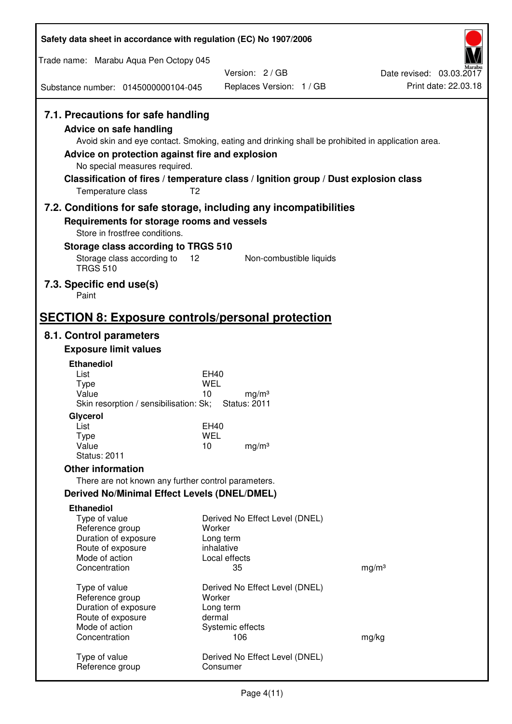| Safety data sheet in accordance with regulation (EC) No 1907/2006                                                                                                                               |                                                                                                                                                                                          |                                                  |
|-------------------------------------------------------------------------------------------------------------------------------------------------------------------------------------------------|------------------------------------------------------------------------------------------------------------------------------------------------------------------------------------------|--------------------------------------------------|
| Trade name: Marabu Aqua Pen Octopy 045                                                                                                                                                          |                                                                                                                                                                                          |                                                  |
| Substance number: 0145000000104-045                                                                                                                                                             | Version: 2/GB<br>Replaces Version: 1 / GB                                                                                                                                                | Date revised: 03.03.2017<br>Print date: 22.03.18 |
|                                                                                                                                                                                                 |                                                                                                                                                                                          |                                                  |
| 7.1. Precautions for safe handling<br><b>Advice on safe handling</b><br>Advice on protection against fire and explosion<br>No special measures required.<br>T <sub>2</sub><br>Temperature class | Avoid skin and eye contact. Smoking, eating and drinking shall be prohibited in application area.<br>Classification of fires / temperature class / Ignition group / Dust explosion class |                                                  |
|                                                                                                                                                                                                 | 7.2. Conditions for safe storage, including any incompatibilities                                                                                                                        |                                                  |
| Requirements for storage rooms and vessels<br>Store in frostfree conditions.                                                                                                                    |                                                                                                                                                                                          |                                                  |
| Storage class according to TRGS 510                                                                                                                                                             |                                                                                                                                                                                          |                                                  |
| Storage class according to<br>12<br><b>TRGS 510</b>                                                                                                                                             | Non-combustible liquids                                                                                                                                                                  |                                                  |
| 7.3. Specific end use(s)<br>Paint                                                                                                                                                               |                                                                                                                                                                                          |                                                  |
| <b>SECTION 8: Exposure controls/personal protection</b>                                                                                                                                         |                                                                                                                                                                                          |                                                  |
| 8.1. Control parameters                                                                                                                                                                         |                                                                                                                                                                                          |                                                  |
| <b>Exposure limit values</b>                                                                                                                                                                    |                                                                                                                                                                                          |                                                  |
| <b>Ethanediol</b><br>List                                                                                                                                                                       | EH40                                                                                                                                                                                     |                                                  |
| <b>Type</b>                                                                                                                                                                                     | <b>WEL</b>                                                                                                                                                                               |                                                  |
| Value<br>Skin resorption / sensibilisation: Sk;                                                                                                                                                 | 10<br>mg/m <sup>3</sup><br><b>Status: 2011</b>                                                                                                                                           |                                                  |
| Glycerol                                                                                                                                                                                        |                                                                                                                                                                                          |                                                  |
| List                                                                                                                                                                                            | EH40                                                                                                                                                                                     |                                                  |
| <b>Type</b><br>Value                                                                                                                                                                            | <b>WEL</b><br>10<br>mg/m <sup>3</sup>                                                                                                                                                    |                                                  |
| <b>Status: 2011</b>                                                                                                                                                                             |                                                                                                                                                                                          |                                                  |
| <b>Other information</b>                                                                                                                                                                        |                                                                                                                                                                                          |                                                  |
| There are not known any further control parameters.                                                                                                                                             |                                                                                                                                                                                          |                                                  |
| <b>Derived No/Minimal Effect Levels (DNEL/DMEL)</b>                                                                                                                                             |                                                                                                                                                                                          |                                                  |
| <b>Ethanediol</b><br>Type of value<br>Reference group<br>Duration of exposure<br>Route of exposure                                                                                              | Derived No Effect Level (DNEL)<br>Worker<br>Long term<br>inhalative                                                                                                                      |                                                  |
| Mode of action<br>Concentration                                                                                                                                                                 | Local effects<br>35                                                                                                                                                                      | mg/m <sup>3</sup>                                |
|                                                                                                                                                                                                 |                                                                                                                                                                                          |                                                  |
| Type of value                                                                                                                                                                                   | Derived No Effect Level (DNEL)                                                                                                                                                           |                                                  |
| Reference group<br>Duration of exposure                                                                                                                                                         | Worker<br>Long term                                                                                                                                                                      |                                                  |
| Route of exposure                                                                                                                                                                               | dermal                                                                                                                                                                                   |                                                  |
| Mode of action<br>Concentration                                                                                                                                                                 | Systemic effects<br>106                                                                                                                                                                  | mg/kg                                            |
| Type of value<br>Reference group                                                                                                                                                                | Derived No Effect Level (DNEL)<br>Consumer                                                                                                                                               |                                                  |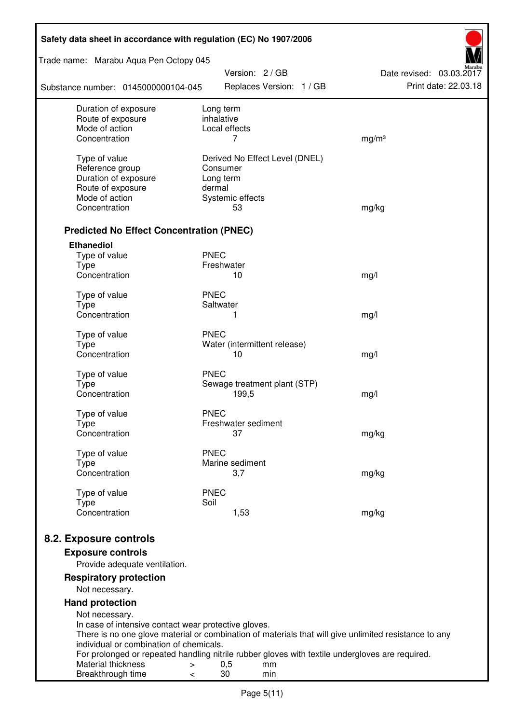| Safety data sheet in accordance with regulation (EC) No 1907/2006 |                                                                                                       |                                                  |  |  |  |
|-------------------------------------------------------------------|-------------------------------------------------------------------------------------------------------|--------------------------------------------------|--|--|--|
| Trade name: Marabu Aqua Pen Octopy 045<br>Version: 2 / GB         |                                                                                                       |                                                  |  |  |  |
| Substance number: 0145000000104-045                               | Replaces Version: 1 / GB                                                                              | Date revised: 03.03.2017<br>Print date: 22.03.18 |  |  |  |
| Duration of exposure<br>Route of exposure                         | Long term<br>inhalative                                                                               |                                                  |  |  |  |
| Mode of action                                                    | Local effects                                                                                         |                                                  |  |  |  |
| Concentration                                                     | 7                                                                                                     | mg/m <sup>3</sup>                                |  |  |  |
| Type of value                                                     | Derived No Effect Level (DNEL)                                                                        |                                                  |  |  |  |
| Reference group                                                   | Consumer                                                                                              |                                                  |  |  |  |
| Duration of exposure                                              | Long term                                                                                             |                                                  |  |  |  |
| Route of exposure                                                 | dermal                                                                                                |                                                  |  |  |  |
| Mode of action                                                    | Systemic effects                                                                                      |                                                  |  |  |  |
| Concentration                                                     | 53                                                                                                    | mg/kg                                            |  |  |  |
| <b>Predicted No Effect Concentration (PNEC)</b>                   |                                                                                                       |                                                  |  |  |  |
| <b>Ethanediol</b>                                                 |                                                                                                       |                                                  |  |  |  |
| Type of value                                                     | <b>PNEC</b>                                                                                           |                                                  |  |  |  |
| <b>Type</b>                                                       | Freshwater                                                                                            |                                                  |  |  |  |
| Concentration                                                     | 10                                                                                                    | mg/l                                             |  |  |  |
| Type of value                                                     | <b>PNEC</b>                                                                                           |                                                  |  |  |  |
| <b>Type</b>                                                       | Saltwater                                                                                             |                                                  |  |  |  |
| Concentration                                                     | 1                                                                                                     | mg/l                                             |  |  |  |
| Type of value                                                     | <b>PNEC</b>                                                                                           |                                                  |  |  |  |
| <b>Type</b>                                                       | Water (intermittent release)                                                                          |                                                  |  |  |  |
| Concentration                                                     | 10                                                                                                    | mg/l                                             |  |  |  |
|                                                                   | <b>PNEC</b>                                                                                           |                                                  |  |  |  |
| Type of value<br><b>Type</b>                                      | Sewage treatment plant (STP)                                                                          |                                                  |  |  |  |
| Concentration                                                     | 199,5                                                                                                 | mg/l                                             |  |  |  |
|                                                                   |                                                                                                       |                                                  |  |  |  |
| Type of value                                                     | <b>PNEC</b><br>Freshwater sediment                                                                    |                                                  |  |  |  |
| Type<br>Concentration                                             | 37                                                                                                    | mg/kg                                            |  |  |  |
|                                                                   |                                                                                                       |                                                  |  |  |  |
| Type of value                                                     | <b>PNEC</b>                                                                                           |                                                  |  |  |  |
| Type<br>Concentration                                             | Marine sediment<br>3,7                                                                                | mg/kg                                            |  |  |  |
|                                                                   |                                                                                                       |                                                  |  |  |  |
| Type of value                                                     | <b>PNEC</b>                                                                                           |                                                  |  |  |  |
| <b>Type</b>                                                       | Soil                                                                                                  |                                                  |  |  |  |
| Concentration                                                     | 1,53                                                                                                  | mg/kg                                            |  |  |  |
| 8.2. Exposure controls                                            |                                                                                                       |                                                  |  |  |  |
| <b>Exposure controls</b>                                          |                                                                                                       |                                                  |  |  |  |
| Provide adequate ventilation.                                     |                                                                                                       |                                                  |  |  |  |
| <b>Respiratory protection</b>                                     |                                                                                                       |                                                  |  |  |  |
| Not necessary.                                                    |                                                                                                       |                                                  |  |  |  |
| <b>Hand protection</b>                                            |                                                                                                       |                                                  |  |  |  |
| Not necessary.                                                    |                                                                                                       |                                                  |  |  |  |
| In case of intensive contact wear protective gloves.              |                                                                                                       |                                                  |  |  |  |
| individual or combination of chemicals.                           | There is no one glove material or combination of materials that will give unlimited resistance to any |                                                  |  |  |  |
|                                                                   | For prolonged or repeated handling nitrile rubber gloves with textile undergloves are required.       |                                                  |  |  |  |
| Material thickness<br>$\, > \,$                                   | 0,5<br>mm                                                                                             |                                                  |  |  |  |
| Breakthrough time<br>$\,<\,$                                      | 30<br>min                                                                                             |                                                  |  |  |  |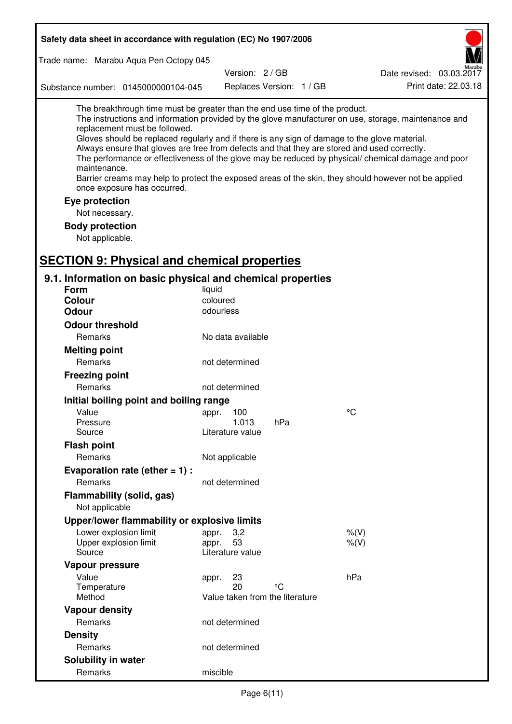| Safety data sheet in accordance with regulation (EC) No 1907/2006                                                                                                                                                                                                                                                                                            |                           |                                 |                                                                                                                                                                                                                                                                                                                    |  |
|--------------------------------------------------------------------------------------------------------------------------------------------------------------------------------------------------------------------------------------------------------------------------------------------------------------------------------------------------------------|---------------------------|---------------------------------|--------------------------------------------------------------------------------------------------------------------------------------------------------------------------------------------------------------------------------------------------------------------------------------------------------------------|--|
| Trade name: Marabu Aqua Pen Octopy 045                                                                                                                                                                                                                                                                                                                       |                           |                                 |                                                                                                                                                                                                                                                                                                                    |  |
|                                                                                                                                                                                                                                                                                                                                                              | Version: 2/GB             |                                 | Date revised: 03.03.2017                                                                                                                                                                                                                                                                                           |  |
| Substance number: 0145000000104-045                                                                                                                                                                                                                                                                                                                          |                           | Replaces Version: 1 / GB        | Print date: 22.03.18                                                                                                                                                                                                                                                                                               |  |
| The breakthrough time must be greater than the end use time of the product.<br>replacement must be followed.<br>Gloves should be replaced regularly and if there is any sign of damage to the glove material.<br>Always ensure that gloves are free from defects and that they are stored and used correctly.<br>maintenance.<br>once exposure has occurred. |                           |                                 | The instructions and information provided by the glove manufacturer on use, storage, maintenance and<br>The performance or effectiveness of the glove may be reduced by physical/ chemical damage and poor<br>Barrier creams may help to protect the exposed areas of the skin, they should however not be applied |  |
| Eye protection                                                                                                                                                                                                                                                                                                                                               |                           |                                 |                                                                                                                                                                                                                                                                                                                    |  |
| Not necessary.                                                                                                                                                                                                                                                                                                                                               |                           |                                 |                                                                                                                                                                                                                                                                                                                    |  |
| <b>Body protection</b>                                                                                                                                                                                                                                                                                                                                       |                           |                                 |                                                                                                                                                                                                                                                                                                                    |  |
| Not applicable.                                                                                                                                                                                                                                                                                                                                              |                           |                                 |                                                                                                                                                                                                                                                                                                                    |  |
| <b>SECTION 9: Physical and chemical properties</b>                                                                                                                                                                                                                                                                                                           |                           |                                 |                                                                                                                                                                                                                                                                                                                    |  |
|                                                                                                                                                                                                                                                                                                                                                              |                           |                                 |                                                                                                                                                                                                                                                                                                                    |  |
| 9.1. Information on basic physical and chemical properties                                                                                                                                                                                                                                                                                                   |                           |                                 |                                                                                                                                                                                                                                                                                                                    |  |
| Form                                                                                                                                                                                                                                                                                                                                                         | liquid                    |                                 |                                                                                                                                                                                                                                                                                                                    |  |
| <b>Colour</b><br><b>Odour</b>                                                                                                                                                                                                                                                                                                                                | coloured<br>odourless     |                                 |                                                                                                                                                                                                                                                                                                                    |  |
|                                                                                                                                                                                                                                                                                                                                                              |                           |                                 |                                                                                                                                                                                                                                                                                                                    |  |
| <b>Odour threshold</b>                                                                                                                                                                                                                                                                                                                                       |                           |                                 |                                                                                                                                                                                                                                                                                                                    |  |
| Remarks                                                                                                                                                                                                                                                                                                                                                      | No data available         |                                 |                                                                                                                                                                                                                                                                                                                    |  |
| <b>Melting point</b>                                                                                                                                                                                                                                                                                                                                         |                           |                                 |                                                                                                                                                                                                                                                                                                                    |  |
| Remarks                                                                                                                                                                                                                                                                                                                                                      | not determined            |                                 |                                                                                                                                                                                                                                                                                                                    |  |
| <b>Freezing point</b>                                                                                                                                                                                                                                                                                                                                        |                           |                                 |                                                                                                                                                                                                                                                                                                                    |  |
| Remarks                                                                                                                                                                                                                                                                                                                                                      | not determined            |                                 |                                                                                                                                                                                                                                                                                                                    |  |
| Initial boiling point and boiling range                                                                                                                                                                                                                                                                                                                      |                           |                                 |                                                                                                                                                                                                                                                                                                                    |  |
| Value                                                                                                                                                                                                                                                                                                                                                        | appr. 100                 |                                 | $\rm ^{\circ}C$                                                                                                                                                                                                                                                                                                    |  |
| Pressure<br>Source                                                                                                                                                                                                                                                                                                                                           | 1.013<br>Literature value | hPa                             |                                                                                                                                                                                                                                                                                                                    |  |
| <b>Flash point</b>                                                                                                                                                                                                                                                                                                                                           |                           |                                 |                                                                                                                                                                                                                                                                                                                    |  |
| Remarks                                                                                                                                                                                                                                                                                                                                                      | Not applicable            |                                 |                                                                                                                                                                                                                                                                                                                    |  |
| Evaporation rate (ether $= 1$ ) :                                                                                                                                                                                                                                                                                                                            |                           |                                 |                                                                                                                                                                                                                                                                                                                    |  |
| Remarks                                                                                                                                                                                                                                                                                                                                                      | not determined            |                                 |                                                                                                                                                                                                                                                                                                                    |  |
| Flammability (solid, gas)                                                                                                                                                                                                                                                                                                                                    |                           |                                 |                                                                                                                                                                                                                                                                                                                    |  |
| Not applicable                                                                                                                                                                                                                                                                                                                                               |                           |                                 |                                                                                                                                                                                                                                                                                                                    |  |
| Upper/lower flammability or explosive limits                                                                                                                                                                                                                                                                                                                 |                           |                                 |                                                                                                                                                                                                                                                                                                                    |  |
| Lower explosion limit                                                                                                                                                                                                                                                                                                                                        | 3,2<br>appr.              |                                 | $%$ (V)                                                                                                                                                                                                                                                                                                            |  |
| Upper explosion limit                                                                                                                                                                                                                                                                                                                                        | 53<br>appr.               |                                 | $%$ $(V)$                                                                                                                                                                                                                                                                                                          |  |
| Source                                                                                                                                                                                                                                                                                                                                                       | Literature value          |                                 |                                                                                                                                                                                                                                                                                                                    |  |
| Vapour pressure                                                                                                                                                                                                                                                                                                                                              |                           |                                 |                                                                                                                                                                                                                                                                                                                    |  |
| Value                                                                                                                                                                                                                                                                                                                                                        | 23<br>appr.               |                                 | hPa                                                                                                                                                                                                                                                                                                                |  |
| Temperature<br>Method                                                                                                                                                                                                                                                                                                                                        | 20                        | °C                              |                                                                                                                                                                                                                                                                                                                    |  |
|                                                                                                                                                                                                                                                                                                                                                              |                           | Value taken from the literature |                                                                                                                                                                                                                                                                                                                    |  |
| <b>Vapour density</b><br>Remarks                                                                                                                                                                                                                                                                                                                             |                           |                                 |                                                                                                                                                                                                                                                                                                                    |  |
|                                                                                                                                                                                                                                                                                                                                                              | not determined            |                                 |                                                                                                                                                                                                                                                                                                                    |  |
| <b>Density</b>                                                                                                                                                                                                                                                                                                                                               |                           |                                 |                                                                                                                                                                                                                                                                                                                    |  |
| Remarks                                                                                                                                                                                                                                                                                                                                                      | not determined            |                                 |                                                                                                                                                                                                                                                                                                                    |  |
| Solubility in water                                                                                                                                                                                                                                                                                                                                          |                           |                                 |                                                                                                                                                                                                                                                                                                                    |  |
| Remarks                                                                                                                                                                                                                                                                                                                                                      | miscible                  |                                 |                                                                                                                                                                                                                                                                                                                    |  |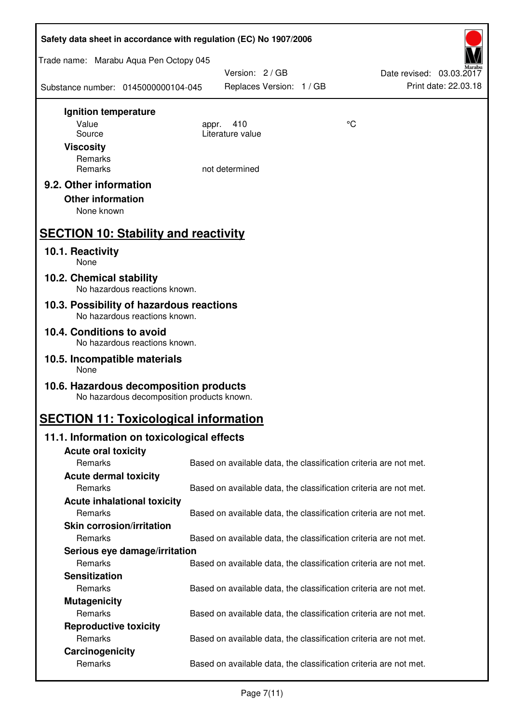| Safety data sheet in accordance with regulation (EC) No 1907/2006                    |                                                                   |    |                                                  |  |
|--------------------------------------------------------------------------------------|-------------------------------------------------------------------|----|--------------------------------------------------|--|
| Trade name: Marabu Aqua Pen Octopy 045                                               |                                                                   |    |                                                  |  |
| Substance number: 0145000000104-045                                                  | Version: 2 / GB<br>Replaces Version: 1 / GB                       |    | Date revised: 03.03.2017<br>Print date: 22.03.18 |  |
| Ignition temperature                                                                 |                                                                   |    |                                                  |  |
| Value<br>Source                                                                      | 410<br>appr.<br>Literature value                                  | °C |                                                  |  |
| <b>Viscosity</b>                                                                     |                                                                   |    |                                                  |  |
| Remarks                                                                              |                                                                   |    |                                                  |  |
| Remarks                                                                              | not determined                                                    |    |                                                  |  |
| 9.2. Other information                                                               |                                                                   |    |                                                  |  |
| <b>Other information</b><br>None known                                               |                                                                   |    |                                                  |  |
|                                                                                      |                                                                   |    |                                                  |  |
| <b>SECTION 10: Stability and reactivity</b>                                          |                                                                   |    |                                                  |  |
| 10.1. Reactivity<br>None                                                             |                                                                   |    |                                                  |  |
| 10.2. Chemical stability<br>No hazardous reactions known.                            |                                                                   |    |                                                  |  |
| 10.3. Possibility of hazardous reactions<br>No hazardous reactions known.            |                                                                   |    |                                                  |  |
| 10.4. Conditions to avoid<br>No hazardous reactions known.                           |                                                                   |    |                                                  |  |
| 10.5. Incompatible materials<br>None                                                 |                                                                   |    |                                                  |  |
| 10.6. Hazardous decomposition products<br>No hazardous decomposition products known. |                                                                   |    |                                                  |  |
| <b>SECTION 11: Toxicological information</b>                                         |                                                                   |    |                                                  |  |
| 11.1. Information on toxicological effects                                           |                                                                   |    |                                                  |  |
| <b>Acute oral toxicity</b>                                                           |                                                                   |    |                                                  |  |
| Remarks                                                                              | Based on available data, the classification criteria are not met. |    |                                                  |  |
| <b>Acute dermal toxicity</b><br>Remarks                                              | Based on available data, the classification criteria are not met. |    |                                                  |  |
| <b>Acute inhalational toxicity</b>                                                   |                                                                   |    |                                                  |  |
| Remarks                                                                              | Based on available data, the classification criteria are not met. |    |                                                  |  |
| <b>Skin corrosion/irritation</b>                                                     |                                                                   |    |                                                  |  |
| Remarks                                                                              | Based on available data, the classification criteria are not met. |    |                                                  |  |
| Serious eye damage/irritation                                                        |                                                                   |    |                                                  |  |
| Remarks                                                                              | Based on available data, the classification criteria are not met. |    |                                                  |  |
| <b>Sensitization</b>                                                                 |                                                                   |    |                                                  |  |
| Remarks                                                                              | Based on available data, the classification criteria are not met. |    |                                                  |  |
| <b>Mutagenicity</b><br>Remarks                                                       | Based on available data, the classification criteria are not met. |    |                                                  |  |
| <b>Reproductive toxicity</b>                                                         |                                                                   |    |                                                  |  |
| Remarks                                                                              | Based on available data, the classification criteria are not met. |    |                                                  |  |
| Carcinogenicity                                                                      |                                                                   |    |                                                  |  |
| Remarks                                                                              | Based on available data, the classification criteria are not met. |    |                                                  |  |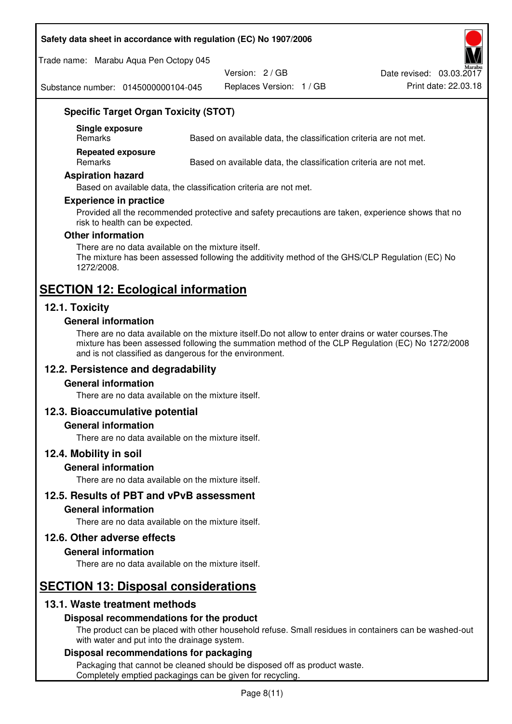#### **Safety data sheet in accordance with regulation (EC) No 1907/2006**

Trade name: Marabu Aqua Pen Octopy 045

Version: 2 / GB

Replaces Version: 1 / GB Print date: 22.03.18 Date revised: 03.03.2017

Substance number: 0145000000104-045

## **Specific Target Organ Toxicity (STOT)**

**Single exposure** 

Based on available data, the classification criteria are not met.

**Repeated exposure** 

Remarks Based on available data, the classification criteria are not met.

#### **Aspiration hazard**

Based on available data, the classification criteria are not met.

#### **Experience in practice**

Provided all the recommended protective and safety precautions are taken, experience shows that no risk to health can be expected.

#### **Other information**

There are no data available on the mixture itself. The mixture has been assessed following the additivity method of the GHS/CLP Regulation (EC) No 1272/2008.

## **SECTION 12: Ecological information**

## **12.1. Toxicity**

#### **General information**

There are no data available on the mixture itself.Do not allow to enter drains or water courses.The mixture has been assessed following the summation method of the CLP Regulation (EC) No 1272/2008 and is not classified as dangerous for the environment.

## **12.2. Persistence and degradability**

#### **General information**

There are no data available on the mixture itself.

#### **12.3. Bioaccumulative potential**

#### **General information**

There are no data available on the mixture itself.

#### **12.4. Mobility in soil**

#### **General information**

There are no data available on the mixture itself.

**12.5. Results of PBT and vPvB assessment** 

#### **General information**

There are no data available on the mixture itself.

#### **12.6. Other adverse effects**

#### **General information**

There are no data available on the mixture itself.

# **SECTION 13: Disposal considerations**

## **13.1. Waste treatment methods**

#### **Disposal recommendations for the product**

The product can be placed with other household refuse. Small residues in containers can be washed-out with water and put into the drainage system.

#### **Disposal recommendations for packaging**

Packaging that cannot be cleaned should be disposed off as product waste. Completely emptied packagings can be given for recycling.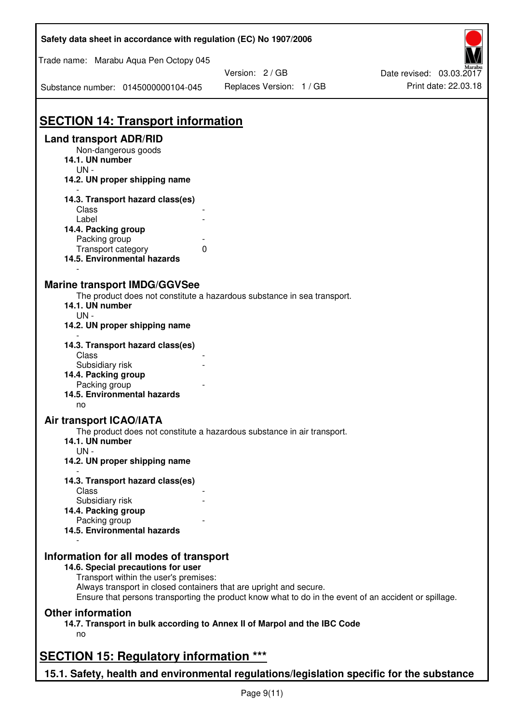| Safety data sheet in accordance with regulation (EC) No 1907/2006                         |                                                                                                       |                          |
|-------------------------------------------------------------------------------------------|-------------------------------------------------------------------------------------------------------|--------------------------|
| Trade name: Marabu Aqua Pen Octopy 045                                                    |                                                                                                       |                          |
|                                                                                           | Version: 2 / GB                                                                                       | Date revised: 03.03.2017 |
| Substance number: 0145000000104-045                                                       | Replaces Version: 1 / GB                                                                              | Print date: 22.03.18     |
| <b>SECTION 14: Transport information</b>                                                  |                                                                                                       |                          |
| <b>Land transport ADR/RID</b>                                                             |                                                                                                       |                          |
| Non-dangerous goods<br>14.1. UN number                                                    |                                                                                                       |                          |
| $UN -$<br>14.2. UN proper shipping name                                                   |                                                                                                       |                          |
| 14.3. Transport hazard class(es)<br>Class                                                 |                                                                                                       |                          |
| Label                                                                                     |                                                                                                       |                          |
| 14.4. Packing group                                                                       |                                                                                                       |                          |
| Packing group                                                                             |                                                                                                       |                          |
| Transport category<br>0                                                                   |                                                                                                       |                          |
| 14.5. Environmental hazards                                                               |                                                                                                       |                          |
| <b>Marine transport IMDG/GGVSee</b>                                                       | The product does not constitute a hazardous substance in sea transport.                               |                          |
| 14.1. UN number<br>$UN -$<br>14.2. UN proper shipping name                                |                                                                                                       |                          |
|                                                                                           |                                                                                                       |                          |
| 14.3. Transport hazard class(es)<br>Class                                                 |                                                                                                       |                          |
| Subsidiary risk<br>14.4. Packing group                                                    |                                                                                                       |                          |
| Packing group                                                                             |                                                                                                       |                          |
| 14.5. Environmental hazards<br>no                                                         |                                                                                                       |                          |
| Air transport ICAO/IATA                                                                   |                                                                                                       |                          |
| 14.1. UN number                                                                           | The product does not constitute a hazardous substance in air transport.                               |                          |
| $UN -$<br>14.2. UN proper shipping name                                                   |                                                                                                       |                          |
|                                                                                           |                                                                                                       |                          |
| 14.3. Transport hazard class(es)<br>Class                                                 |                                                                                                       |                          |
| Subsidiary risk                                                                           |                                                                                                       |                          |
| 14.4. Packing group                                                                       |                                                                                                       |                          |
| Packing group                                                                             |                                                                                                       |                          |
| 14.5. Environmental hazards                                                               |                                                                                                       |                          |
| Information for all modes of transport                                                    |                                                                                                       |                          |
| 14.6. Special precautions for user<br>Transport within the user's premises:               |                                                                                                       |                          |
| Always transport in closed containers that are upright and secure.                        | Ensure that persons transporting the product know what to do in the event of an accident or spillage. |                          |
| <b>Other information</b>                                                                  |                                                                                                       |                          |
| 14.7. Transport in bulk according to Annex II of Marpol and the IBC Code                  |                                                                                                       |                          |
| no                                                                                        |                                                                                                       |                          |
| <b>SECTION 15: Regulatory information ***</b>                                             |                                                                                                       |                          |
| 15.1. Safety, health and environmental regulations/legislation specific for the substance |                                                                                                       |                          |

Ī

٦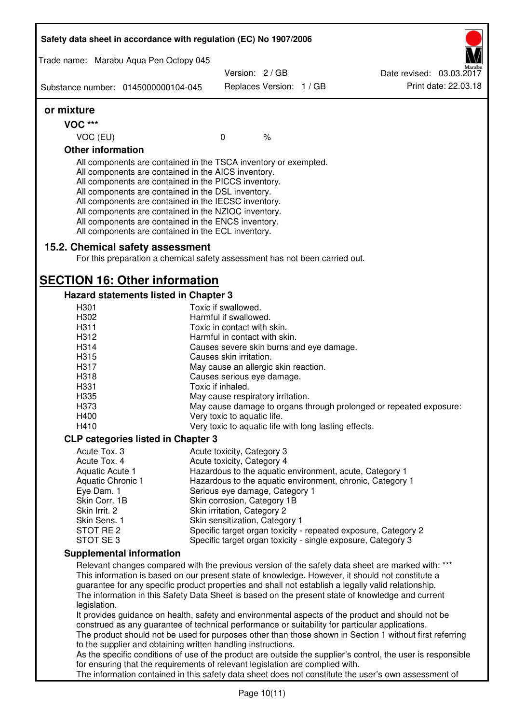|                           | Safety data sheet in accordance with regulation (EC) No 1907/2006                                                                                                                                                                                                                                                                                                                                                                                                 |                                                                                      |                          |                                                                                                                                                                                                                                                                                                                                                                                                                                                                                                                       |
|---------------------------|-------------------------------------------------------------------------------------------------------------------------------------------------------------------------------------------------------------------------------------------------------------------------------------------------------------------------------------------------------------------------------------------------------------------------------------------------------------------|--------------------------------------------------------------------------------------|--------------------------|-----------------------------------------------------------------------------------------------------------------------------------------------------------------------------------------------------------------------------------------------------------------------------------------------------------------------------------------------------------------------------------------------------------------------------------------------------------------------------------------------------------------------|
|                           | Trade name: Marabu Aqua Pen Octopy 045                                                                                                                                                                                                                                                                                                                                                                                                                            |                                                                                      |                          |                                                                                                                                                                                                                                                                                                                                                                                                                                                                                                                       |
|                           |                                                                                                                                                                                                                                                                                                                                                                                                                                                                   | Version: 2 / GB                                                                      |                          | Date revised: 03.03.2017                                                                                                                                                                                                                                                                                                                                                                                                                                                                                              |
|                           | Substance number: 0145000000104-045                                                                                                                                                                                                                                                                                                                                                                                                                               |                                                                                      | Replaces Version: 1 / GB | Print date: 22.03.18                                                                                                                                                                                                                                                                                                                                                                                                                                                                                                  |
| or mixture                |                                                                                                                                                                                                                                                                                                                                                                                                                                                                   |                                                                                      |                          |                                                                                                                                                                                                                                                                                                                                                                                                                                                                                                                       |
| <b>VOC ***</b>            |                                                                                                                                                                                                                                                                                                                                                                                                                                                                   |                                                                                      |                          |                                                                                                                                                                                                                                                                                                                                                                                                                                                                                                                       |
| VOC (EU)                  |                                                                                                                                                                                                                                                                                                                                                                                                                                                                   | $\mathbf 0$                                                                          | $\frac{1}{6}$            |                                                                                                                                                                                                                                                                                                                                                                                                                                                                                                                       |
| <b>Other information</b>  |                                                                                                                                                                                                                                                                                                                                                                                                                                                                   |                                                                                      |                          |                                                                                                                                                                                                                                                                                                                                                                                                                                                                                                                       |
|                           | All components are contained in the TSCA inventory or exempted.<br>All components are contained in the AICS inventory.<br>All components are contained in the PICCS inventory.<br>All components are contained in the DSL inventory.<br>All components are contained in the IECSC inventory.<br>All components are contained in the NZIOC inventory.<br>All components are contained in the ENCS inventory.<br>All components are contained in the ECL inventory. |                                                                                      |                          |                                                                                                                                                                                                                                                                                                                                                                                                                                                                                                                       |
|                           | 15.2. Chemical safety assessment<br>For this preparation a chemical safety assessment has not been carried out.                                                                                                                                                                                                                                                                                                                                                   |                                                                                      |                          |                                                                                                                                                                                                                                                                                                                                                                                                                                                                                                                       |
|                           | <b>SECTION 16: Other information</b>                                                                                                                                                                                                                                                                                                                                                                                                                              |                                                                                      |                          |                                                                                                                                                                                                                                                                                                                                                                                                                                                                                                                       |
|                           | Hazard statements listed in Chapter 3                                                                                                                                                                                                                                                                                                                                                                                                                             |                                                                                      |                          |                                                                                                                                                                                                                                                                                                                                                                                                                                                                                                                       |
| H301                      |                                                                                                                                                                                                                                                                                                                                                                                                                                                                   | Toxic if swallowed.                                                                  |                          |                                                                                                                                                                                                                                                                                                                                                                                                                                                                                                                       |
| H302<br>H311              |                                                                                                                                                                                                                                                                                                                                                                                                                                                                   | Harmful if swallowed.<br>Toxic in contact with skin.                                 |                          |                                                                                                                                                                                                                                                                                                                                                                                                                                                                                                                       |
| H312                      |                                                                                                                                                                                                                                                                                                                                                                                                                                                                   | Harmful in contact with skin.                                                        |                          |                                                                                                                                                                                                                                                                                                                                                                                                                                                                                                                       |
| H314                      |                                                                                                                                                                                                                                                                                                                                                                                                                                                                   | Causes severe skin burns and eye damage.                                             |                          |                                                                                                                                                                                                                                                                                                                                                                                                                                                                                                                       |
| H315                      |                                                                                                                                                                                                                                                                                                                                                                                                                                                                   | Causes skin irritation.                                                              |                          |                                                                                                                                                                                                                                                                                                                                                                                                                                                                                                                       |
| H317                      |                                                                                                                                                                                                                                                                                                                                                                                                                                                                   | May cause an allergic skin reaction.                                                 |                          |                                                                                                                                                                                                                                                                                                                                                                                                                                                                                                                       |
| H318                      |                                                                                                                                                                                                                                                                                                                                                                                                                                                                   | Causes serious eye damage.                                                           |                          |                                                                                                                                                                                                                                                                                                                                                                                                                                                                                                                       |
| H331                      |                                                                                                                                                                                                                                                                                                                                                                                                                                                                   | Toxic if inhaled.                                                                    |                          |                                                                                                                                                                                                                                                                                                                                                                                                                                                                                                                       |
| H335                      |                                                                                                                                                                                                                                                                                                                                                                                                                                                                   | May cause respiratory irritation.                                                    |                          |                                                                                                                                                                                                                                                                                                                                                                                                                                                                                                                       |
| H373<br>H400              |                                                                                                                                                                                                                                                                                                                                                                                                                                                                   |                                                                                      |                          | May cause damage to organs through prolonged or repeated exposure:                                                                                                                                                                                                                                                                                                                                                                                                                                                    |
| H410                      |                                                                                                                                                                                                                                                                                                                                                                                                                                                                   | Very toxic to aquatic life.<br>Very toxic to aquatic life with long lasting effects. |                          |                                                                                                                                                                                                                                                                                                                                                                                                                                                                                                                       |
|                           | <b>CLP categories listed in Chapter 3</b>                                                                                                                                                                                                                                                                                                                                                                                                                         |                                                                                      |                          |                                                                                                                                                                                                                                                                                                                                                                                                                                                                                                                       |
| Acute Tox. 3              |                                                                                                                                                                                                                                                                                                                                                                                                                                                                   |                                                                                      |                          |                                                                                                                                                                                                                                                                                                                                                                                                                                                                                                                       |
| Acute Tox. 4              |                                                                                                                                                                                                                                                                                                                                                                                                                                                                   | Acute toxicity, Category 3<br>Acute toxicity, Category 4                             |                          |                                                                                                                                                                                                                                                                                                                                                                                                                                                                                                                       |
| Aquatic Acute 1           |                                                                                                                                                                                                                                                                                                                                                                                                                                                                   |                                                                                      |                          | Hazardous to the aquatic environment, acute, Category 1                                                                                                                                                                                                                                                                                                                                                                                                                                                               |
| Aquatic Chronic 1         |                                                                                                                                                                                                                                                                                                                                                                                                                                                                   |                                                                                      |                          | Hazardous to the aquatic environment, chronic, Category 1                                                                                                                                                                                                                                                                                                                                                                                                                                                             |
| Eye Dam. 1                |                                                                                                                                                                                                                                                                                                                                                                                                                                                                   | Serious eye damage, Category 1                                                       |                          |                                                                                                                                                                                                                                                                                                                                                                                                                                                                                                                       |
| Skin Corr. 1B             |                                                                                                                                                                                                                                                                                                                                                                                                                                                                   | Skin corrosion, Category 1B                                                          |                          |                                                                                                                                                                                                                                                                                                                                                                                                                                                                                                                       |
| Skin Irrit. 2             |                                                                                                                                                                                                                                                                                                                                                                                                                                                                   | Skin irritation, Category 2                                                          |                          |                                                                                                                                                                                                                                                                                                                                                                                                                                                                                                                       |
| Skin Sens. 1<br>STOT RE 2 |                                                                                                                                                                                                                                                                                                                                                                                                                                                                   | Skin sensitization, Category 1                                                       |                          | Specific target organ toxicity - repeated exposure, Category 2                                                                                                                                                                                                                                                                                                                                                                                                                                                        |
| STOT SE3                  |                                                                                                                                                                                                                                                                                                                                                                                                                                                                   |                                                                                      |                          | Specific target organ toxicity - single exposure, Category 3                                                                                                                                                                                                                                                                                                                                                                                                                                                          |
|                           | <b>Supplemental information</b>                                                                                                                                                                                                                                                                                                                                                                                                                                   |                                                                                      |                          |                                                                                                                                                                                                                                                                                                                                                                                                                                                                                                                       |
| legislation.              | construed as any guarantee of technical performance or suitability for particular applications.                                                                                                                                                                                                                                                                                                                                                                   |                                                                                      |                          | Relevant changes compared with the previous version of the safety data sheet are marked with: ***<br>This information is based on our present state of knowledge. However, it should not constitute a<br>guarantee for any specific product properties and shall not establish a legally valid relationship.<br>The information in this Safety Data Sheet is based on the present state of knowledge and current<br>It provides guidance on health, safety and environmental aspects of the product and should not be |
|                           | to the supplier and obtaining written handling instructions.<br>for ensuring that the requirements of relevant legislation are complied with.                                                                                                                                                                                                                                                                                                                     |                                                                                      |                          | The product should not be used for purposes other than those shown in Section 1 without first referring<br>As the specific conditions of use of the product are outside the supplier's control, the user is responsible                                                                                                                                                                                                                                                                                               |
|                           |                                                                                                                                                                                                                                                                                                                                                                                                                                                                   |                                                                                      |                          | The information contained in this safety data sheet does not constitute the user's own assessment of                                                                                                                                                                                                                                                                                                                                                                                                                  |